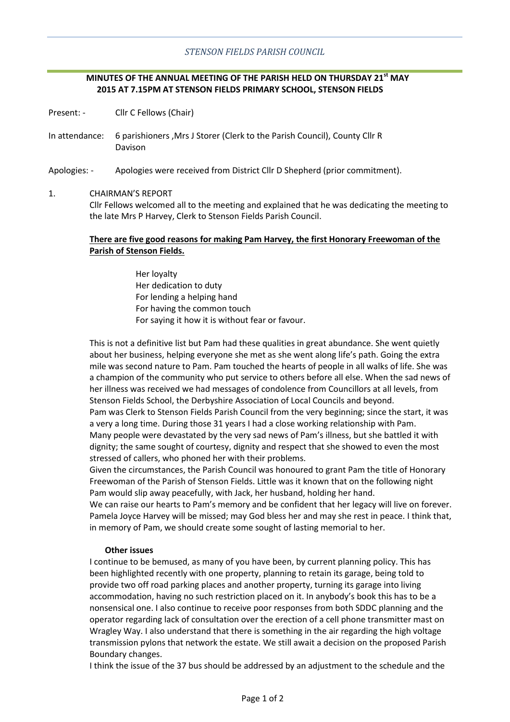### *STENSON FIELDS PARISH COUNCIL*

# **MINUTES OF THE ANNUAL MEETING OF THE PARISH HELD ON THURSDAY 21st MAY 2015 AT 7.15PM AT STENSON FIELDS PRIMARY SCHOOL, STENSON FIELDS**

Present: - Cllr C Fellows (Chair)

In attendance: 6 parishioners ,Mrs J Storer (Clerk to the Parish Council), County Cllr R Davison

Apologies: - Apologies were received from District Cllr D Shepherd (prior commitment).

#### 1. CHAIRMAN'S REPORT

Cllr Fellows welcomed all to the meeting and explained that he was dedicating the meeting to the late Mrs P Harvey, Clerk to Stenson Fields Parish Council.

# **There are five good reasons for making Pam Harvey, the first Honorary Freewoman of the Parish of Stenson Fields.**

Her loyalty Her dedication to duty For lending a helping hand For having the common touch For saying it how it is without fear or favour.

This is not a definitive list but Pam had these qualities in great abundance. She went quietly about her business, helping everyone she met as she went along life's path. Going the extra mile was second nature to Pam. Pam touched the hearts of people in all walks of life. She was a champion of the community who put service to others before all else. When the sad news of her illness was received we had messages of condolence from Councillors at all levels, from Stenson Fields School, the Derbyshire Association of Local Councils and beyond. Pam was Clerk to Stenson Fields Parish Council from the very beginning; since the start, it was a very a long time. During those 31 years I had a close working relationship with Pam. Many people were devastated by the very sad news of Pam's illness, but she battled it with dignity; the same sought of courtesy, dignity and respect that she showed to even the most stressed of callers, who phoned her with their problems.

Given the circumstances, the Parish Council was honoured to grant Pam the title of Honorary Freewoman of the Parish of Stenson Fields. Little was it known that on the following night Pam would slip away peacefully, with Jack, her husband, holding her hand.

We can raise our hearts to Pam's memory and be confident that her legacy will live on forever. Pamela Joyce Harvey will be missed; may God bless her and may she rest in peace. I think that, in memory of Pam, we should create some sought of lasting memorial to her.

### **Other issues**

I continue to be bemused, as many of you have been, by current planning policy. This has been highlighted recently with one property, planning to retain its garage, being told to provide two off road parking places and another property, turning its garage into living accommodation, having no such restriction placed on it. In anybody's book this has to be a nonsensical one. I also continue to receive poor responses from both SDDC planning and the operator regarding lack of consultation over the erection of a cell phone transmitter mast on Wragley Way. I also understand that there is something in the air regarding the high voltage transmission pylons that network the estate. We still await a decision on the proposed Parish Boundary changes.

I think the issue of the 37 bus should be addressed by an adjustment to the schedule and the